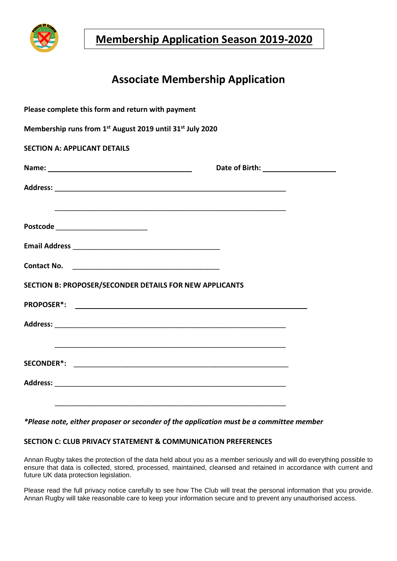

**Membership Application Season 2019-2020**

# **Associate Membership Application**

| Please complete this form and return with payment                                 |  |
|-----------------------------------------------------------------------------------|--|
| Membership runs from 1 <sup>st</sup> August 2019 until 31 <sup>st</sup> July 2020 |  |
| <b>SECTION A: APPLICANT DETAILS</b>                                               |  |
|                                                                                   |  |
|                                                                                   |  |
|                                                                                   |  |
| Postcode __________________________                                               |  |
|                                                                                   |  |
|                                                                                   |  |
| SECTION B: PROPOSER/SECONDER DETAILS FOR NEW APPLICANTS                           |  |
|                                                                                   |  |
|                                                                                   |  |
| ,我们也不会有什么。""我们的人,我们也不会有什么?""我们的人,我们也不会有什么?""我们的人,我们的人,我们也不会有什么?""我们的人,我们的人,我们也不会  |  |
|                                                                                   |  |
|                                                                                   |  |
|                                                                                   |  |

#### *\*Please note, either proposer or seconder of the application must be a committee member*

### **SECTION C: CLUB PRIVACY STATEMENT & COMMUNICATION PREFERENCES**

Annan Rugby takes the protection of the data held about you as a member seriously and will do everything possible to ensure that data is collected, stored, processed, maintained, cleansed and retained in accordance with current and future UK data protection legislation.

Please read the full privacy notice carefully to see how The Club will treat the personal information that you provide. Annan Rugby will take reasonable care to keep your information secure and to prevent any unauthorised access.